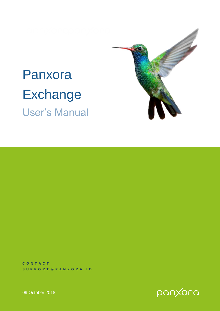

**C O N T A C T S U P P O R T @ P A N X O R A . I O**



09 October 2018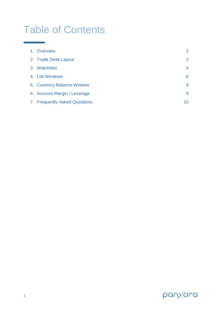# Table of Contents

| 1. Overview                   | 2                    |
|-------------------------------|----------------------|
| 2. Trade Desk Layout          | $\mathbf{2}^{\circ}$ |
| 3. Watchlists                 | 4                    |
| 4. List Windows               | 6                    |
| 5. Currency Balance Window    | 9                    |
| 6. Account Margin / Leverage  | 9                    |
| 7. Frequently Asked Questions | 10                   |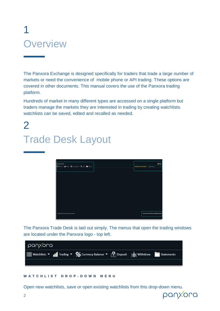# 1 **Overview**

The Panxora Exchange is designed specifically for traders that trade a large number of markets or need the convenience of mobile phone or API trading. These options are covered in other documents. This manual covers the use of the [Panxora trading](https://panxora.io/login)  [platform.](https://panxora.io/login)

Hundreds of market in many different types are accessed on a single platform but traders manage the markets they are interested in trading by creating watchlists. watchlists can be saved, edited and recalled as needed.

# $\overline{\mathcal{L}}$ Trade Desk Layout



The Panxora Trade Desk is laid out simply. The menus that open the trading windows are located under the Panxora logo - top left.

| panxora |                                                                                                                                                |  |
|---------|------------------------------------------------------------------------------------------------------------------------------------------------|--|
|         | $\frac{1}{2}$ Watchlists ▼ II Trading ▼ $\frac{1}{2}$ Currency Balance ▼ $\frac{1}{2}$ Deposit $\frac{1}{2}$ Withdraw $\frac{1}{2}$ Statements |  |
|         |                                                                                                                                                |  |

# **W A T C H L I S T D R O P - D O W N M E N U**

Open new watchlists, save or open existing watchlists from this drop-down menu.

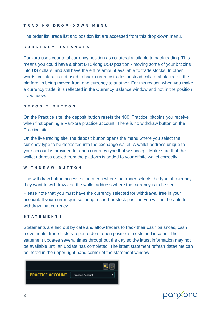### **T R A D I N G D R O P - D O W N M E N U**

The order list, trade list and position list are accessed from this drop-down menu.

# **C U R R E N C Y B A L A N C E S**

Panxora uses your total currency position as collateral available to back trading. This means you could have a short BTC/long USD position - moving some of your bitcoins into US dollars, and still have the entire amount available to trade stocks. In other words, collateral is not used to back currency trades, instead collateral placed on the platform is being moved from one currency to another. For this reason when you make a currency trade, it is reflected in the Currency Balance window and not in the position list window.

# **DEPOSIT BUTTON**

On the Practice site, the deposit button resets the 100 'Practice' bitcoins you receive when first opening a Panxora practice account. There is no withdraw button on the Practice site.

On the live trading site, the deposit button opens the menu where you select the currency type to be deposited into the exchange wallet. A wallet address unique to your account is provided for each currency type that we accept. Make sure that the wallet address copied from the platform is added to your offsite wallet correctly.

# **W I T H D R A W B U T T O N**

The withdraw button accesses the menu where the trader selects the type of currency they want to withdraw and the wallet address where the currency is to be sent.

Please note that you must have the currency selected for withdrawal free in your account. If your currency is securing a short or stock position you will not be able to withdraw that currency.

# **S T A T E M E N T S**

Statements are laid out by date and allow traders to track their cash balances, cash movements, trade history, open orders, open positions, costs and income. The statement updates several times throughout the day so the latest information may not be available until an update has completed. The latest statement refresh date/time can be noted in the upper right hand corner of the statement window.



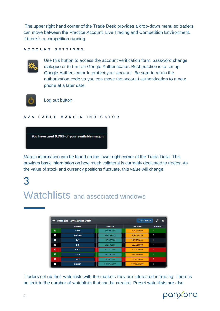The upper right hand corner of the Trade Desk provides a drop-down menu so traders can move between the Practice Account, Live Trading and Competition Environment, if there is a competition running.

### **A C C O U N T S E T T I N G S**



Use this button to access the account verification form, password change dialogue or to turn on Google Authenticator. Best practice is to set up Google Authenticator to protect your account. Be sure to retain the authorization code so you can move the account authentication to a new phone at a later date.



Log out button.

### **A V A I L A B L E M A R G I N I N D I C A T O R**



Margin information can be found on the lower right corner of the Trade Desk. This provides basic information on how much collateral is currently dedicated to trades. As the value of stock and currency positions fluctuate, this value will change.

# 3

# Watchlists and associated windows

|             | + Add Market<br><b>E</b> Watch List - larry's crypto watch |                  |                  |                 |  |  |
|-------------|------------------------------------------------------------|------------------|------------------|-----------------|--|--|
|             | <b>Market</b>                                              | <b>Bid Price</b> | <b>Ask Price</b> | <b>Position</b> |  |  |
| $\mathbf x$ | <b>AAPL</b>                                                | 226.010000       | 226.040000       | $\bf{0}$        |  |  |
| ×           | <b>BTCUSD</b>                                              | 6634.83645       | 6636,26356       | 0               |  |  |
| ×           | <b>DIS</b>                                                 | 116.830000       | 116,850000       | $\bf{0}$        |  |  |
| ×           | <b>DRI</b>                                                 | 108.540000       | 108,610000       | 0               |  |  |
| $\mathbf x$ | <b>NVDA</b>                                                | 265.760000       | 265,960000       | $\bf{0}$        |  |  |
| $\mathbf x$ | <b>TSLA</b>                                                | 264.810000       | 264.910000       | $\Omega$        |  |  |
| $\mathbf x$ | <b>VXX</b>                                                 | 28.9000000       | 28.9100000       | $\bf{0}$        |  |  |
| ×           | <b>XAIBTC</b>                                              | 0.000006060      | 0.000006189      | 0               |  |  |

Traders set up their watchlists with the markets they are interested in trading. There is no limit to the number of watchlists that can be created. Preset watchlists are also

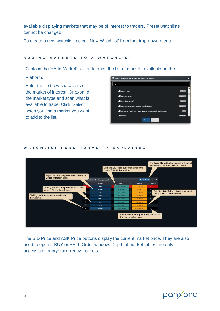available displaying markets that may be of interest to traders. Preset watchlists cannot be changed.

To create a new watchlist, select 'New Watchlist' from the drop-down menu.

# **A D D I N G M A R K E T S T O A W A T C H L I S T**

Click on the '+Add Market' button to open the list of markets available on the

Platform.

Enter the first few characters of the market of interest. Or expand the market type and scan what is available to trade. Click 'Select' when you find a market you want to add to the list.



# **W A T C H L I S T F U N C T I O N A L I T Y E X P L A I N E D**



The BID Price and ASK Price buttons display the current market price. They are also used to open a BUY or SELL Order window. Depth of market tables are only accessible for cryptocurrency markets.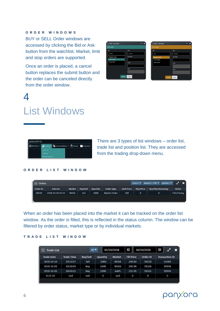# **O R D E R W I N D O W S**

BUY or SELL Order windows are accessed by clicking the Bid or Ask button from the watchlist. Market, limit and stop orders are supported.

Once an order is placed, a cancel button replaces the submit button and the order can be canceled directly from the order window.

| <b>BUY AAPL</b>   |                 | <b>SELL AAPL</b>    |                 |
|-------------------|-----------------|---------------------|-----------------|
| <b>BID</b>        | ASK             | <b>BID</b>          | ASK             |
| 215.05            | 215.14          | <b>215</b>          | 215.14          |
| Market Order      | Quantity        | <b>Market Order</b> | Quantity        |
| Limit Order       |                 | Limit Order         |                 |
| <b>Stop Order</b> | Limit           | <b>Stop Order</b>   | Limit           |
|                   | Stop            |                     | Stop            |
|                   | Submit<br>Close |                     | Submit<br>Close |

# List Windows

4



There are 3 types of list windows – order list, trade list and position list. They are accessed from the trading drop-down menu.

#### **O R D E R L I S T W I N D O W**



When an order has been placed into the market it can be tracked on the order list window. As the order is filled, this is reflected in the status column. The window can be filtered by order status, market type or by individual markets.

# **T R A D E L I S T W I N D O W**

| Trade List<br>═   |                   | All <sup>-</sup> |                 | 01/10/2018    | 0                 | 10/10/2018 | 0<br>×                |
|-------------------|-------------------|------------------|-----------------|---------------|-------------------|------------|-----------------------|
| <b>Trade Date</b> | <b>Trade Time</b> | <b>Buy/Sell</b>  | <b>Quantity</b> | <b>Market</b> | <b>Fill Price</b> | Order ID   | <b>Transaction ID</b> |
| 2018-10-10        | 19:13:57          | Sell             | $-1000$         | <b>NVDA</b>   | 249.83            | 58228      | 51049                 |
| 2018-10-03        | 19:26:05          | Buy              | 1000            | <b>NVDA</b>   | 285.96            | 58106      | 50938                 |
| 2018-10-03        | 18:43:21          | Buy              | 1000            | AAPL          | 231.95            | 58101      | 50934                 |
| $0 - 12 - 31$     | null              | null             | O               | null          | 0                 | O          | 0                     |
|                   |                   |                  |                 |               |                   |            |                       |

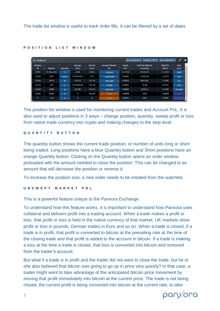| $\equiv$ Positions    |                   |                |                  |                         |                              |                     | <b>MARKET TYPE W</b><br>ALL POSITIONS       | ALL COUNTRIES             | $\mathbf{r}$         | $\boldsymbol{\mathsf{x}}$ |
|-----------------------|-------------------|----------------|------------------|-------------------------|------------------------------|---------------------|---------------------------------------------|---------------------------|----------------------|---------------------------|
| <b>Position</b><br>ID | <b>Market</b>     | Quantity       | Average<br>Price | <b>Current</b><br>Price | <b>Unswept Market</b><br>PnL | Swept<br><b>BTC</b> | <b>Total PnL (Market</b><br><b>Currency</b> | <b>Total PnL</b><br>(BTC) | <b>Stop</b><br>Level |                           |
| 11902                 | <b>ES Mar2017</b> | $\overline{2}$ | 2260             | 2384.5                  | $-235.820$                   | 12.3714             | 81118.29                                    | 12.3355                   | 2300                 |                           |
| 11939                 | AAPL              | 1022           | 229.467361       | 215                     | $-15402.810$                 | 0.0000              | $-15402.81$                                 | $-2.3423$                 | 125                  |                           |
| 12004                 | <b>NFLX</b>       | 50             | 129,23           | 321.35                  | 8832.680                     | 0.0000              | 8832.68                                     | 1.3296                    | 135                  |                           |
| 12210                 | <b>SPY</b>        | $\overline{3}$ | 237.643326       | 276,78                  | 75,980                       | 0.0000              | 75.98                                       | 0.0114                    | 220                  |                           |
| 12268                 | ADBE              | 10             | 119.84           | 234.51                  | 1028.540                     | 0.0000              | 1028.54                                     | 0.1548                    | 107.856              |                           |
| 15492                 | <b>NVDA</b>       | $\mathbf{0}$   | $\mathbf 0$      | 242.68                  | $-0.000$                     | $-0.0000$           | $-0.00$                                     | $-0.0000$                 | 250                  |                           |
| $\mathbf 0$           | null              | $\mathbf{0}$   | $\mathbf 0$      | $\mathbf{0}$            | 0.000                        | 0.0000              | 0.00                                        | 0.0000                    | $\theta$             | . *                       |

### **P O S I T I O N L I S T W I N D O W**

The position list window is used for monitoring current trades and Account PnL. It is also used to adjust positions in 3 ways – change position, quantity, sweep profit or loss from native trade currency into crypto and making changes to the stop level.

## **Q U A N T I T Y B U T T O N**

The quantity button shows the current trade position, or number of units long or short being traded. Long positions have a blue Quantity button and Short positions have an orange Quantity button. Clicking on the Quantity button opens an order window preloaded with the amount needed to close the position. This can be changed to an amount that will decrease the position or reverse it.

To increase the position size, a new order needs to be initiated from the watchlist.

# **U N S W E P T M A R K E T P N L**

This is a powerful feature unique to the Panxora Exchange.

To understand how this feature works, it is important to understand how Panxora uses collateral and delivers profit into a trading account. When a trade makes a profit or loss, that profit or loss is held in the native currency of that market. UK markets show profit or loss in pounds, German trades in Euro and so on. When a trade is closed, if a trade is in profit, that profit is converted to bitcoin at the prevailing rate at the time of the closing trade and that profit is added to the account in bitcoin. If a trade is making a loss at the time a trade is closed, that loss is converted into bitcoin and removed from the trader's account.

But what if a trade is in profit and the trader did not want to close the trade, but he or she also believed that bitcoin was going to go up in price very quickly? In that case, a trader might want to take advantage of the anticipated bitcoin price movement by moving that profit immediately into bitcoin at the current price. The trade is not being closed, the current profit is being converted into bitcoin at the current rate, to take

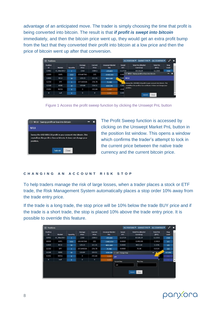advantage of an anticipated move. The trader is simply choosing the time that profit is being converted into bitcoin. The result is that *if profit is swept into bitcoin* immediately, and then the bitcoin price went up, they would get an extra profit bump from the fact that they converted their profit into bitcoin at a low price and then the price of bitcoin went up after that conversion.

| $\equiv$ Positions    |                   |                |                  |                         |                              |                     | ALL POSITIONS ▼<br>MARKET TYPE <b>V</b>                             | ALL COUNTRIES             | P                    | $\boldsymbol{\mathsf{x}}$ |
|-----------------------|-------------------|----------------|------------------|-------------------------|------------------------------|---------------------|---------------------------------------------------------------------|---------------------------|----------------------|---------------------------|
| <b>Position</b><br>ID | <b>Market</b>     | Quantity       | Average<br>Price | <b>Current</b><br>Price | <b>Unswept Market</b><br>PnL | Swept<br><b>BTC</b> | <b>Total PnL (Market</b><br>Currency)                               | <b>Total PnL</b><br>(BTC) | <b>Stop</b><br>Level | $\mathcal{A}$             |
| 11902                 | <b>ES Mar2017</b> | $\overline{2}$ | 2260             | 2384.5                  | $-235.820$                   | 12.3714             | 81118.29                                                            | 12.3355                   | 2300                 |                           |
| 11939                 | AAPL              | 1022           | 229.467361       | 215                     | $-15402.810$                 | 0.00                | $\Box$ NFLX - Sweep profit or loss into bitcoin                     |                           | -                    | т                         |
| 12004                 | <b>NFLX</b>       | 50             | 129.23           | 321.35                  | 8832.680                     | 0.00                | <b>NFLX</b>                                                         |                           |                      |                           |
| 12210                 | SPY               | $\overline{3}$ | 237.643326       | 276.78                  | 75,980                       |                     | Sweep the USD 8850.18 profit in your account into bitcoin. This     |                           |                      |                           |
| 12268                 | <b>ADBE</b>       | 10             | 119.84           | 234.51                  | 1028.540                     | 0.00                | crystallizes the profit or loss as bitcoin. It does not change your |                           |                      |                           |
| 15492                 | <b>NVDA</b>       | $\mathbf{0}$   | $\mathbf 0$      | 242.68                  | $-0.000$                     | $-0.00$             | position.                                                           |                           |                      |                           |
| $\Omega$              | null              | $\mathbf{0}$   | $\mathbf{o}$     | $\mathbf{0}$            | 0.000                        | 0.00                |                                                                     |                           |                      |                           |
|                       |                   |                |                  |                         |                              |                     | Submit                                                              | Close                     |                      |                           |



|             | $\Box$ NFLX - Sweep profit or loss into bitcoin                                                                                        |  |  |
|-------------|----------------------------------------------------------------------------------------------------------------------------------------|--|--|
| <b>NFLX</b> |                                                                                                                                        |  |  |
| position.   | Sweep the USD 8850.18 profit in your account into bitcoin. This<br>crystallizes the profit or loss as bitcoin. It does not change your |  |  |
|             |                                                                                                                                        |  |  |

The Profit Sweep function is accessed by clicking on the Unswept Market PnL button in the position list window. This opens a window which confirms the trader's attempt to lock in the current price between the native trade currency and the current bitcoin price.

# **C H A N G I N G A N A C C O U N T R I S K S T O P**

To help traders manage the risk of large losses, when a trader places a stock or ETF trade, the Risk Management System automatically places a stop order 10% away from the trade entry price.

If the trade is a long trade, the stop price will be 10% below the trade BUY price and if the trade is a short trade, the stop is placed 10% above the trade entry price. It is possible to override this feature.

| $\equiv$ Positions    |                   |                |                  |                  |                              |                            |                     | MARKET TYPE<br>ALL POSITIONS ▼        | ALL COUNTRIES W           | $\mathbf{r}$         | $\boldsymbol{\mathsf{x}}$ |
|-----------------------|-------------------|----------------|------------------|------------------|------------------------------|----------------------------|---------------------|---------------------------------------|---------------------------|----------------------|---------------------------|
| <b>Position</b><br>ID | <b>Market</b>     | Quantity       | Average<br>Price | Current<br>Price | <b>Unswept Market</b><br>PnL |                            | Swept<br><b>BTC</b> | <b>Total PnL (Market</b><br>Currency) | <b>Total PnL</b><br>(BTC) | <b>Stop</b><br>Level | $\mathcal{A}$             |
| 11902                 | <b>ES Mar2017</b> | $\overline{2}$ | 2260             | 2384.5           | $-235.820$                   |                            | 12.3714             | 81118.29                              | 12.3355                   | 2300                 |                           |
| 11939                 | AAPL              | 1022           | 229.467361       | 215              | $-15402.810$                 |                            | 0.0000              | $-15402.81$                           | $-2.3423$                 | 125                  |                           |
| 12004                 | <b>NFLX</b>       | 50             | 129.23           | 321.35           | 8832.680                     |                            | 0.0000              | 8832.68                               | 1.3296                    | 135                  |                           |
| 12210                 | SPY               | $\overline{3}$ | 237.643326       | 276.78           | 75.980                       |                            | 0.0000              | 75.98                                 | 0.0114                    | 220                  |                           |
| 12268                 | ADBE              | 10             | 119.84           | 234.51           |                              | 1028.540 SPY - Change Stop |                     |                                       | -                         | 107.856              |                           |
| 15492                 | <b>NVDA</b>       | $\mathbf{0}$   | $\mathbf 0$      | 242.68           | $-0.000$                     | SPY                        |                     |                                       | IO.                       | 250                  |                           |
| $\mathbf{0}$          | null              | $\mathbf{o}$   | $\mathbf{0}$     | $\mathbf{o}$     | 0.000                        | <b>Current Stop</b>        |                     | New Stop                              | $\Omega$                  | $\circ$              | $\overline{\phantom{a}}$  |
|                       |                   |                |                  |                  |                              | 220                        |                     |                                       |                           |                      |                           |
|                       |                   |                |                  |                  |                              |                            |                     |                                       |                           |                      |                           |
|                       |                   |                |                  |                  |                              |                            |                     | Submit<br>Close                       |                           |                      |                           |
|                       |                   |                |                  |                  |                              |                            |                     |                                       |                           |                      |                           |

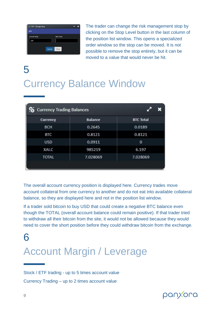| <b>Current Stop</b> | <b>New Stop</b> |  |
|---------------------|-----------------|--|
| 220                 |                 |  |

The trader can change the risk management stop by clicking on the Stop Level button in the last column of the position list window. This opens a specialized order window so the stop can be moved. It is not possible to remove the stop entirely, but it can be moved to a value that would never be hit.

# 5 Currency Balance Window

| <b>Co</b> Currency Trading Balances |                |                  |
|-------------------------------------|----------------|------------------|
| Currency                            | <b>Balance</b> | <b>BTC Total</b> |
| <b>BCH</b>                          | 0.2645         | 0.0189           |
| <b>BTC</b>                          | 0.8121         | 0.8121           |
| <b>USD</b>                          | 0.0911         | 0                |
| XAI.C                               | 985219         | 6.197            |
| <b>TOTAL</b>                        | 7.028069       | 7.028069         |

The overall account currency position is displayed here. Currency trades move account collateral from one currency to another and do not eat into available collateral balance, so they are displayed here and not in the position list window.

If a trader sold bitcoin to buy USD that could create a negative BTC balance even though the TOTAL (overall account balance could remain positive). If that trader tried to withdraw all their bitcoin from the site, it would not be allowed because they would need to cover the short position before they could withdraw bitcoin from the exchange.

# 6 Account Margin / Leverage

Stock / ETF trading - up to 5 times account value Currency Trading – up to 2 times account value

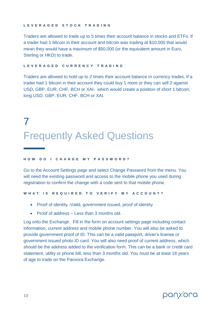### **L E V E R A G E D S T O C K T R A D I N G**

Traders are allowed to trade up to 5 times their account balance in stocks and ETFs. If a trader had 1 bitcoin in their account and bitcoin was trading at \$10,000 that would mean they would have a maximum of \$50,000 (or the equivalent amount in Euro, Sterling or HKD) to trade.

# **L E V E R A G E D C U R R E N C Y T R A D I N G**

Traders are allowed to hold up to 2 times their account balance in currency trades. If a trader had 1 bitcoin in their account they could buy 1 more or they can sell 2 against USD, GBP, EUR, CHF, BCH or XAI- which would create a position of short 1 bitcoin, long USD, GBP, EUR, CHF, BCH or XAI.

# 7 Frequently Asked Questions

### **H O W D O I C H A N G E M Y P A S S W O R D ?**

Go to the Account Settings page and select Change Password from the menu. You will need the existing password and access to the mobile phone you used during registration to confirm the change with a code sent to that mobile phone.

**W H A T I S R E Q U I R E D T O V E R I F Y M Y A C C O U N T ?**

- Proof of identity -Valid, government issued, proof of identity
- Proof of address Less than 3 months old.

Log onto the Exchange. Fill in the form on account settings page including contact information, current address and mobile phone number. You will also be asked to provide government proof of ID. This can be a valid passport, driver's license or government issued photo ID card. You will also need proof of current address, which should be the address added to the verification form. This can be a bank or credit card statement, utility or phone bill, less than 3 months old. You must be at least 18 years of age to trade on the Panxora Exchange.